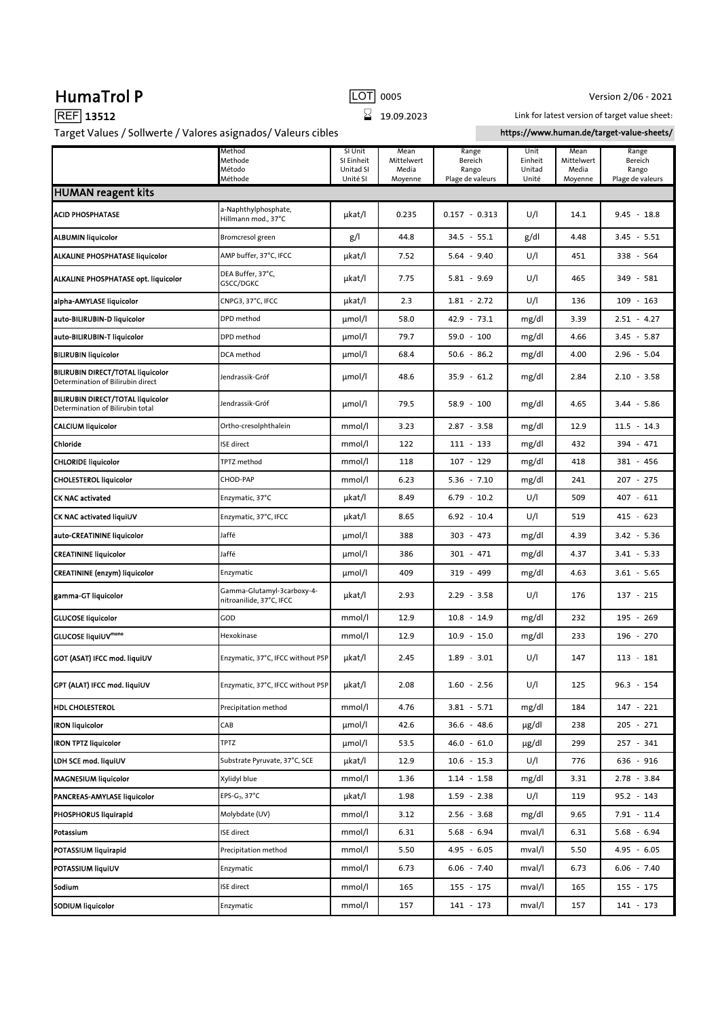| Target Values / Sollwerte / Valores asignados/ Valeurs cibles                 |                                                        |                                                |                                        |                                               |                                    | https://www.human.de/target-value-sheets/ |                                               |  |  |  |  |
|-------------------------------------------------------------------------------|--------------------------------------------------------|------------------------------------------------|----------------------------------------|-----------------------------------------------|------------------------------------|-------------------------------------------|-----------------------------------------------|--|--|--|--|
|                                                                               | Method<br>Methode<br>Método<br>Méthode                 | SI Unit<br>SI Einheit<br>Unitad SI<br>Unité SI | Mean<br>Mittelwert<br>Media<br>Moyenne | Range<br>Bereich<br>Rango<br>Plage de valeurs | Unit<br>Einheit<br>Unitad<br>Unité | Mean<br>Mittelwert<br>Media<br>Moyenne    | Range<br>Bereich<br>Rango<br>Plage de valeurs |  |  |  |  |
| <b>HUMAN reagent kits</b>                                                     |                                                        |                                                |                                        |                                               |                                    |                                           |                                               |  |  |  |  |
| <b>ACID PHOSPHATASE</b>                                                       | a-Naphthylphosphate,<br>Hillmann mod., 37°C            | µkat/l                                         | 0.235                                  | $0.157 - 0.313$                               | U/I                                | 14.1                                      | $9.45 - 18.8$                                 |  |  |  |  |
| <b>ALBUMIN liquicolor</b>                                                     | Bromcresol green                                       | g/l                                            | 44.8                                   | $34.5 - 55.1$                                 | g/dl                               | 4.48                                      | $3.45 - 5.51$                                 |  |  |  |  |
| ALKALINE PHOSPHATASE liquicolor                                               | AMP buffer, 37°C, IFCC                                 | µkat/l                                         | 7.52                                   | $5.64 - 9.40$                                 | U/I                                | 451                                       | 338 - 564                                     |  |  |  |  |
| ALKALINE PHOSPHATASE opt. liquicolor                                          | DEA Buffer, 37°C,<br>GSCC/DGKC                         | µkat/l                                         | 7.75                                   | $5.81 - 9.69$                                 | U/I                                | 465                                       | 349 - 581                                     |  |  |  |  |
| alpha-AMYLASE liquicolor                                                      | CNPG3, 37°C, IFCC                                      | µkat/l                                         | 2.3                                    | $1.81 - 2.72$                                 | U/I                                | 136                                       | $109 - 163$                                   |  |  |  |  |
| auto-BILIRUBIN-D liquicolor                                                   | DPD method                                             | $\mu$ mol/l                                    | 58.0                                   | $42.9 - 73.1$                                 | mg/dl                              | 3.39                                      | $2.51 - 4.27$                                 |  |  |  |  |
| auto-BILIRUBIN-T liquicolor                                                   | DPD method                                             | µmol/l                                         | 79.7                                   | $59.0 - 100$                                  | mg/dl                              | 4.66                                      | $3.45 - 5.87$                                 |  |  |  |  |
| <b>BILIRUBIN liquicolor</b>                                                   | DCA method                                             | $\mu$ mol/l                                    | 68.4                                   | $50.6 - 86.2$                                 | mg/dl                              | 4.00                                      | $2.96 - 5.04$                                 |  |  |  |  |
| <b>BILIRUBIN DIRECT/TOTAL liquicolor</b><br>Determination of Bilirubin direct | Jendrassik-Gróf                                        | $\mu$ mol/l                                    | 48.6                                   | $35.9 - 61.2$                                 | mg/dl                              | 2.84                                      | $2.10 - 3.58$                                 |  |  |  |  |
| <b>BILIRUBIN DIRECT/TOTAL liquicolor</b><br>Determination of Bilirubin total  | Jendrassik-Gróf                                        | $\mu$ mol/l                                    | 79.5                                   | $58.9 - 100$                                  | mg/dl                              | 4.65                                      | $3.44 - 5.86$                                 |  |  |  |  |
| <b>CALCIUM liquicolor</b>                                                     | Ortho-cresolphthalein                                  | mmol/l                                         | 3.23                                   | $2.87 - 3.58$                                 | mg/dl                              | 12.9                                      | $11.5 - 14.3$                                 |  |  |  |  |
| Chloride                                                                      | ISE direct                                             | mmol/l                                         | 122                                    | 111 - 133                                     | mg/dl                              | 432                                       | 394 - 471                                     |  |  |  |  |
| <b>CHLORIDE liquicolor</b>                                                    | TPTZ method                                            | mmol/l                                         | 118                                    | $107 - 129$                                   | mg/dl                              | 418                                       | 381 - 456                                     |  |  |  |  |
| <b>CHOLESTEROL liquicolor</b>                                                 | CHOD-PAP                                               | mmol/l                                         | 6.23                                   | $5.36 - 7.10$                                 | mg/dl                              | 241                                       | 207 - 275                                     |  |  |  |  |
| <b>CK NAC activated</b>                                                       | Enzymatic, 37°C                                        | µkat/l                                         | 8.49                                   | $6.79 - 10.2$                                 | U/I                                | 509                                       | 407 - 611                                     |  |  |  |  |
| <b>CK NAC activated liquiUV</b>                                               | Enzymatic, 37°C, IFCC                                  | µkat/l                                         | 8.65                                   | $6.92 - 10.4$                                 | U/I                                | 519                                       | 415 - 623                                     |  |  |  |  |
| auto-CREATININE liquicolor                                                    | Jaffé                                                  | $\mu$ mol/l                                    | 388                                    | $303 - 473$                                   | mg/dl                              | 4.39                                      | $3.42 - 5.36$                                 |  |  |  |  |
| <b>CREATININE liquicolor</b>                                                  | Jaffé                                                  | $\mu$ mol/l                                    | 386                                    | 301 - 471                                     | mg/dl                              | 4.37                                      | $3.41 - 5.33$                                 |  |  |  |  |
| <b>CREATININE</b> (enzym) liquicolor                                          | Enzymatic                                              | $\mu$ mol/l                                    | 409                                    | 319 - 499                                     | mg/dl                              | 4.63                                      | $3.61 - 5.65$                                 |  |  |  |  |
| gamma-GT liquicolor                                                           | Gamma-Glutamyl-3carboxy-4-<br>nitroanilide, 37°C, IFCC | µkat/l                                         | 2.93                                   | $2.29 - 3.58$                                 | U/I                                | 176                                       | $137 - 215$                                   |  |  |  |  |
| <b>GLUCOSE liquicolor</b>                                                     | GOD                                                    | mmol/l                                         | 12.9                                   | $10.8 - 14.9$                                 | mg/dl                              | 232                                       | 195 - 269                                     |  |  |  |  |
| GLUCOSE liquiUVmono                                                           | Hexokinase                                             | mmol/l                                         | 12.9                                   | $10.9 - 15.0$                                 | mg/dl                              | 233                                       | 196 - 270                                     |  |  |  |  |
| <b>GOT (ASAT) IFCC mod. liquiUV</b>                                           | Enzymatic, 37°C, IFCC without P5P                      | µkat/l                                         | 2.45                                   | $1.89 - 3.01$                                 | U/I                                | 147                                       | $113 - 181$                                   |  |  |  |  |
| GPT (ALAT) IFCC mod. liquiUV                                                  | Enzymatic, 37°C, IFCC without P5P                      | µkat/l                                         | 2.08                                   | $1.60 - 2.56$                                 | U/I                                | 125                                       | $96.3 - 154$                                  |  |  |  |  |
| <b>HDL CHOLESTEROL</b>                                                        | Precipitation method                                   | mmol/l                                         | 4.76                                   | $3.81 - 5.71$                                 | mg/dl                              | 184                                       | $147 - 221$                                   |  |  |  |  |
| <b>IRON liquicolor</b>                                                        | CAB                                                    | $\mu$ mol/l                                    | 42.6                                   | $36.6 - 48.6$                                 | µg/dl                              | 238                                       | $205 - 271$                                   |  |  |  |  |
| <b>IRON TPTZ liquicolor</b>                                                   | <b>TPTZ</b>                                            | umol/l                                         | 53.5                                   | $46.0 - 61.0$                                 | µg/dl                              | 299                                       | 257 - 341                                     |  |  |  |  |
| LDH SCE mod. liquiUV                                                          | Substrate Pyruvate, 37°C, SCE                          | µkat/l                                         | 12.9                                   | $10.6 - 15.3$                                 | U/I                                | 776                                       | 636 - 916                                     |  |  |  |  |
| <b>MAGNESIUM liquicolor</b>                                                   | Xylidyl blue                                           | mmol/l                                         | 1.36                                   | $1.14 - 1.58$                                 | mg/dl                              | 3.31                                      | 2.78 - 3.84                                   |  |  |  |  |
| PANCREAS-AMYLASE liquicolor                                                   | EPS-G <sub>7</sub> , 37°C                              | µkat/l                                         | 1.98                                   | $1.59 - 2.38$                                 | U/I                                | 119                                       | 95.2 - 143                                    |  |  |  |  |
| PHOSPHORUS liquirapid                                                         | Molybdate (UV)                                         | mmol/l                                         | 3.12                                   | $2.56 - 3.68$                                 | mg/dl                              | 9.65                                      | $7.91 - 11.4$                                 |  |  |  |  |
| Potassium                                                                     | <b>ISE</b> direct                                      | mmol/l                                         | 6.31                                   | $5.68 - 6.94$                                 | mval/l                             | 6.31                                      | $5.68 - 6.94$                                 |  |  |  |  |
| POTASSIUM liquirapid                                                          | Precipitation method                                   | mmol/l                                         | 5.50                                   | $4.95 - 6.05$                                 | mval/l                             | 5.50                                      | 4.95 - 6.05                                   |  |  |  |  |
| POTASSIUM liquiUV                                                             | Enzymatic                                              | mmol/l                                         | 6.73                                   | $6.06 - 7.40$                                 | mval/l                             | 6.73                                      | $6.06 - 7.40$                                 |  |  |  |  |
| Sodium                                                                        | ISE direct                                             | mmol/l                                         | 165                                    | 155 - 175                                     | mval/l                             | 165                                       | 155 - 175                                     |  |  |  |  |
| SODIUM liquicolor                                                             | Enzymatic                                              | mmol/l                                         | 157                                    | 141 - 173                                     | mval/l                             | 157                                       | 141 - 173                                     |  |  |  |  |

## **HumaTrol P**  $\boxed{LOT}$  0005 Version 2/06 - 2021

 $\overline{\text{REF}}$  13512  $\overline{\text{S}}$  19.09.2023

Link for latest version of target value sheet: